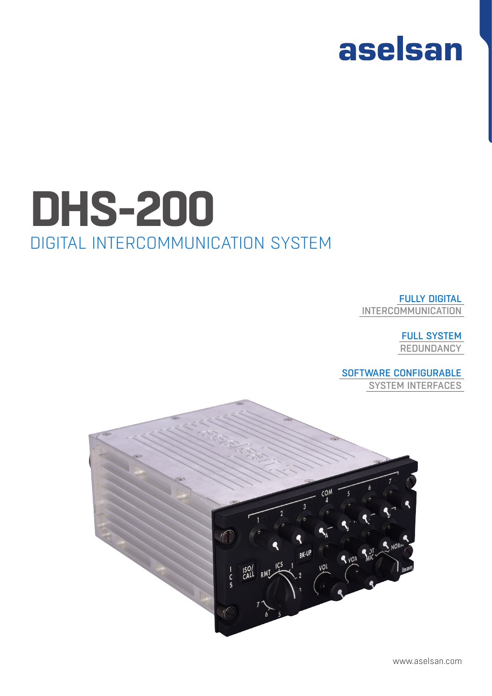

## DIGITAL INTERCOMMUNICATION SYSTEM **DHS-200**

FULLY DIGITAL INTERCOMMUNICATION

> FULL SYSTEM REDUNDANCY

SOFTWARE CONFIGURABLE

SYSTEM INTERFACES